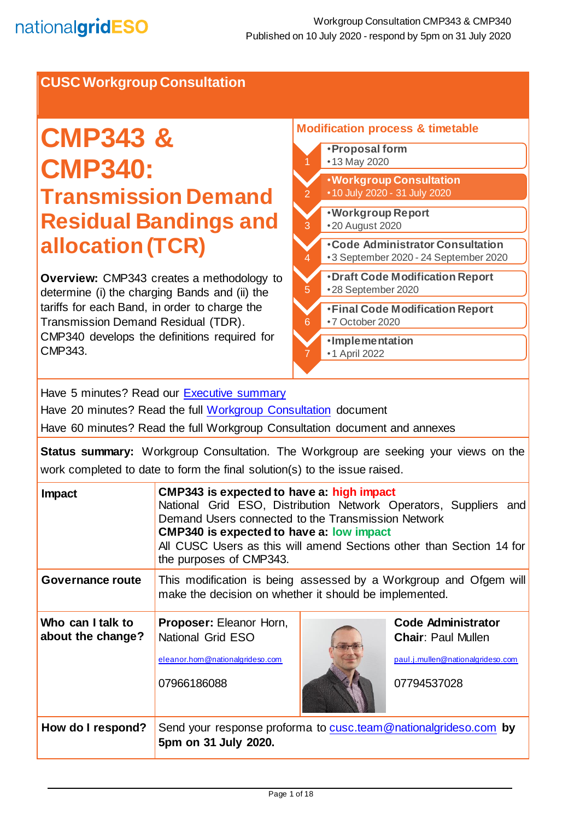## **CUSC Workgroup Consultation**

# **CMP343 & CMP340: Transmission Demand Residual Bandings and allocation (TCR)**

**Overview:** CMP343 creates a methodology to determine (i) the charging Bands and (ii) the tariffs for each Band, in order to charge the Transmission Demand Residual (TDR). CMP340 develops the definitions required for CMP343.

#### **Modification process & timetable**  •**Proposal form** •13 May 2020 2 •**Code Administrator Consultation** •3 September 2020 - 24 September 2020 3 •**Workgroup Report**  •20 August 2020 4 •**Workgroup Consultation** •10 July 2020 - 31 July 2020 5 •**Draft Code Modification Report** •28 September 2020 6 •**Final Code Modification Report** •7 October 2020 7 •**Implementation** •1 April 2022

Have 5 minutes? Read our [Executive summary](#page-0-0)

Have 20 minutes? Read the full [Workgroup Consultation](#page-2-0) document

Have 60 minutes? Read the full Workgroup Consultation document and annexes

**Status summary:** Workgroup Consultation. The Workgroup are seeking your views on the work completed to date to form the final solution(s) to the issue raised.

<span id="page-0-0"></span>

| Impact                                 | CMP343 is expected to have a: high impact<br>National Grid ESO, Distribution Network Operators, Suppliers and<br>Demand Users connected to the Transmission Network<br><b>CMP340 is expected to have a: low impact</b><br>All CUSC Users as this will amend Sections other than Section 14 for<br>the purposes of CMP343. |  |                                                                                                            |
|----------------------------------------|---------------------------------------------------------------------------------------------------------------------------------------------------------------------------------------------------------------------------------------------------------------------------------------------------------------------------|--|------------------------------------------------------------------------------------------------------------|
| Governance route                       | This modification is being assessed by a Workgroup and Ofgem will<br>make the decision on whether it should be implemented.                                                                                                                                                                                               |  |                                                                                                            |
| Who can I talk to<br>about the change? | <b>Proposer: Eleanor Horn,</b><br>National Grid ESO<br>eleanor.horn@nationalgrideso.com<br>07966186088                                                                                                                                                                                                                    |  | <b>Code Administrator</b><br><b>Chair: Paul Mullen</b><br>paul.j.mullen@nationalgrideso.com<br>07794537028 |
| How do I respond?                      | Send your response proforma to cusc.team @nationalgrideso.com by<br>5pm on 31 July 2020.                                                                                                                                                                                                                                  |  |                                                                                                            |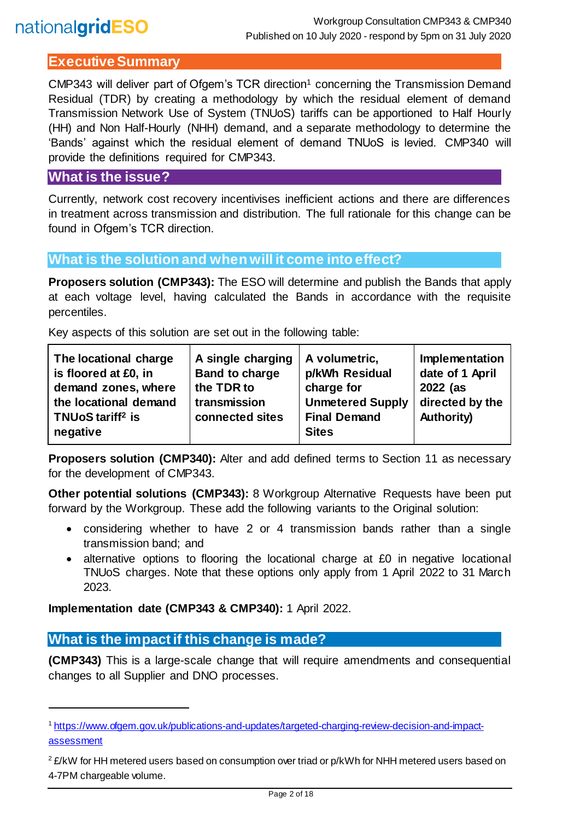## **Executive Summary**

CMP343 will deliver part of Ofgem's TCR direction<sup>1</sup> concerning the Transmission Demand Residual (TDR) by creating a methodology by which the residual element of demand Transmission Network Use of System (TNUoS) tariffs can be apportioned to Half Hourly (HH) and Non Half-Hourly (NHH) demand, and a separate methodology to determine the 'Bands' against which the residual element of demand TNUoS is levied. CMP340 will provide the definitions required for CMP343.

#### **What is the issue?**

Currently, network cost recovery incentivises inefficient actions and there are differences in treatment across transmission and distribution. The full rationale for this change can be found in Ofgem's TCR direction.

### **What is the solution and when will it come into effect?**

**Proposers solution (CMP343):** The ESO will determine and publish the Bands that apply at each voltage level, having calculated the Bands in accordance with the requisite percentiles.

Key aspects of this solution are set out in the following table:

| The locational charge                                             | A single charging               | A volumetric,                                                  | Implementation                       |
|-------------------------------------------------------------------|---------------------------------|----------------------------------------------------------------|--------------------------------------|
| is floored at £0, in                                              | <b>Band to charge</b>           | p/kWh Residual                                                 | date of 1 April                      |
| demand zones, where                                               | the TDR to                      | charge for                                                     | 2022 (as                             |
| the locational demand<br>TNUoS tariff <sup>2</sup> is<br>negative | transmission<br>connected sites | <b>Unmetered Supply</b><br><b>Final Demand</b><br><b>Sites</b> | directed by the<br><b>Authority)</b> |

**Proposers solution (CMP340):** Alter and add defined terms to Section 11 as necessary for the development of CMP343.

**Other potential solutions (CMP343):** 8 Workgroup Alternative Requests have been put forward by the Workgroup. These add the following variants to the Original solution:

- considering whether to have 2 or 4 transmission bands rather than a single transmission band; and
- alternative options to flooring the locational charge at £0 in negative locational TNUoS charges. Note that these options only apply from 1 April 2022 to 31 March 2023.

**Implementation date (CMP343 & CMP340):** 1 April 2022.

## **What is the impact if this change is made?**

l

**(CMP343)** This is a large-scale change that will require amendments and consequential changes to all Supplier and DNO processes.

<sup>1</sup> [https://www.ofgem.gov.uk/publications-and-updates/targeted-charging-review-decision-and-impact](https://www.ofgem.gov.uk/publications-and-updates/targeted-charging-review-decision-and-impact-assessment)[assessment](https://www.ofgem.gov.uk/publications-and-updates/targeted-charging-review-decision-and-impact-assessment)

<sup>&</sup>lt;sup>2</sup> £/kW for HH metered users based on consumption over triad or p/kWh for NHH metered users based on 4-7PM chargeable volume.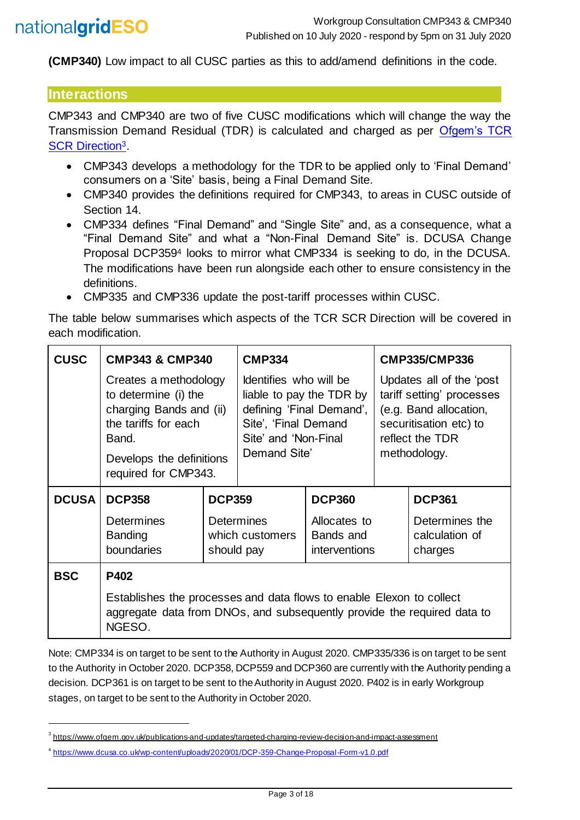**(CMP340)** Low impact to all CUSC parties as this to add/amend definitions in the code.

#### **Interactions**

l

CMP343 and CMP340 are two of five CUSC modifications which will change the way the Transmission Demand Residual (TDR) is calculated and charged as per [Ofgem's TCR](https://www.ofgem.gov.uk/publications-and-updates/targeted-charging-review-decision-and-impact-assessment)  [SCR Direction](https://www.ofgem.gov.uk/publications-and-updates/targeted-charging-review-decision-and-impact-assessment)3.

- CMP343 develops a methodology for the TDR to be applied only to 'Final Demand' consumers on a 'Site' basis, being a Final Demand Site.
- CMP340 provides the definitions required for CMP343, to areas in CUSC outside of Section 14.
- CMP334 defines "Final Demand" and "Single Site" and, as a consequence, what a "Final Demand Site" and what a "Non-Final Demand Site" is. DCUSA Change Proposal DCP359<sup>4</sup> looks to mirror what CMP334 is seeking to do, in the DCUSA. The modifications have been run alongside each other to ensure consistency in the definitions.
- CMP335 and CMP336 update the post-tariff processes within CUSC.

The table below summarises which aspects of the TCR SCR Direction will be covered in each modification.

| <b>CUSC</b>  | <b>CMP343 &amp; CMP340</b>                                                                                                                                    |               | <b>CMP334</b>                                                                                                                                  |                                                   | <b>CMP335/CMP336</b>                                                                                                                         |                                             |
|--------------|---------------------------------------------------------------------------------------------------------------------------------------------------------------|---------------|------------------------------------------------------------------------------------------------------------------------------------------------|---------------------------------------------------|----------------------------------------------------------------------------------------------------------------------------------------------|---------------------------------------------|
|              | Creates a methodology<br>to determine (i) the<br>charging Bands and (ii)<br>the tariffs for each<br>Band.<br>Develops the definitions<br>required for CMP343. |               | Identifies who will be<br>liable to pay the TDR by<br>defining 'Final Demand',<br>Site', 'Final Demand<br>Site' and 'Non-Final<br>Demand Site' |                                                   | Updates all of the 'post<br>tariff setting' processes<br>(e.g. Band allocation,<br>securitisation etc) to<br>reflect the TDR<br>methodology. |                                             |
| <b>DCUSA</b> | <b>DCP358</b>                                                                                                                                                 | <b>DCP359</b> |                                                                                                                                                | <b>DCP360</b>                                     |                                                                                                                                              | <b>DCP361</b>                               |
|              | <b>Determines</b><br><b>Banding</b><br>boundaries                                                                                                             | should pay    | <b>Determines</b><br>which customers                                                                                                           | Allocates to<br>Bands and<br><i>interventions</i> |                                                                                                                                              | Determines the<br>calculation of<br>charges |
| <b>BSC</b>   | P402                                                                                                                                                          |               |                                                                                                                                                |                                                   |                                                                                                                                              |                                             |
|              | Establishes the processes and data flows to enable Elexon to collect<br>aggregate data from DNOs, and subsequently provide the required data to<br>NGESO.     |               |                                                                                                                                                |                                                   |                                                                                                                                              |                                             |

<span id="page-2-0"></span>Note: CMP334 is on target to be sent to the Authority in August 2020. CMP335/336 is on target to be sent to the Authority in October 2020. DCP358, DCP559 and DCP360 are currently with the Authority pending a decision. DCP361 is on target to be sent to the Authority in August 2020. P402 is in early Workgroup stages, on target to be sent to the Authority in October 2020.

<sup>&</sup>lt;sup>3</sup><https://www.ofgem.gov.uk/publications-and-updates/targeted-charging-review-decision-and-impact-assessment>

<sup>4</sup> <https://www.dcusa.co.uk/wp-content/uploads/2020/01/DCP-359-Change-Proposal-Form-v1.0.pdf>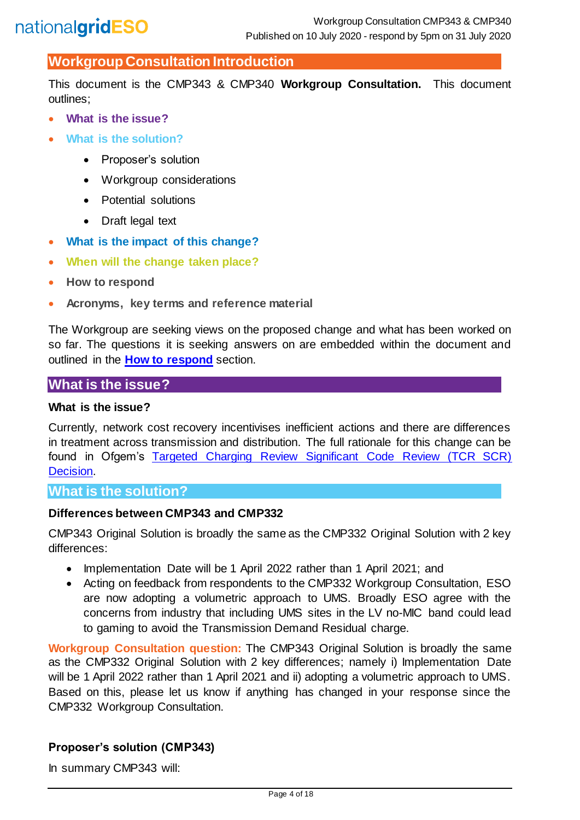## **Workgroup Consultation Introduction**

This document is the CMP343 & CMP340 **Workgroup Consultation.** This document outlines;

- **What is the issue?**
- **What is the solution?**
	- Proposer's solution
	- Workgroup considerations
	- Potential solutions
	- Draft legal text
- **What is the impact of this change?**
- **When will the change taken place?**
- **How to respond**
- **Acronyms, key terms and reference material**

The Workgroup are seeking views on the proposed change and what has been worked on so far. The questions it is seeking answers on are embedded within the document and outlined in the **[How to respond](#page-14-0)** section.

## **What is the issue?**

#### **What is the issue?**

Currently, network cost recovery incentivises inefficient actions and there are differences in treatment across transmission and distribution. The full rationale for this change can be found in Ofgem's [Targeted Charging Review Significant Code Review \(TCR SCR\)](https://www.ofgem.gov.uk/system/files/docs/2019/12/full_decision_doc_updated.pdf)  [Decision.](https://www.ofgem.gov.uk/system/files/docs/2019/12/full_decision_doc_updated.pdf)

#### **What is the solution?**

#### **Differences between CMP343 and CMP332**

CMP343 Original Solution is broadly the same as the CMP332 Original Solution with 2 key differences:

- Implementation Date will be 1 April 2022 rather than 1 April 2021; and
- Acting on feedback from respondents to the CMP332 Workgroup Consultation, ESO are now adopting a volumetric approach to UMS. Broadly ESO agree with the concerns from industry that including UMS sites in the LV no-MIC band could lead to gaming to avoid the Transmission Demand Residual charge.

**Workgroup Consultation question:** The CMP343 Original Solution is broadly the same as the CMP332 Original Solution with 2 key differences; namely i) Implementation Date will be 1 April 2022 rather than 1 April 2021 and ii) adopting a volumetric approach to UMS. Based on this, please let us know if anything has changed in your response since the CMP332 Workgroup Consultation.

#### **Proposer's solution (CMP343)**

In summary CMP343 will: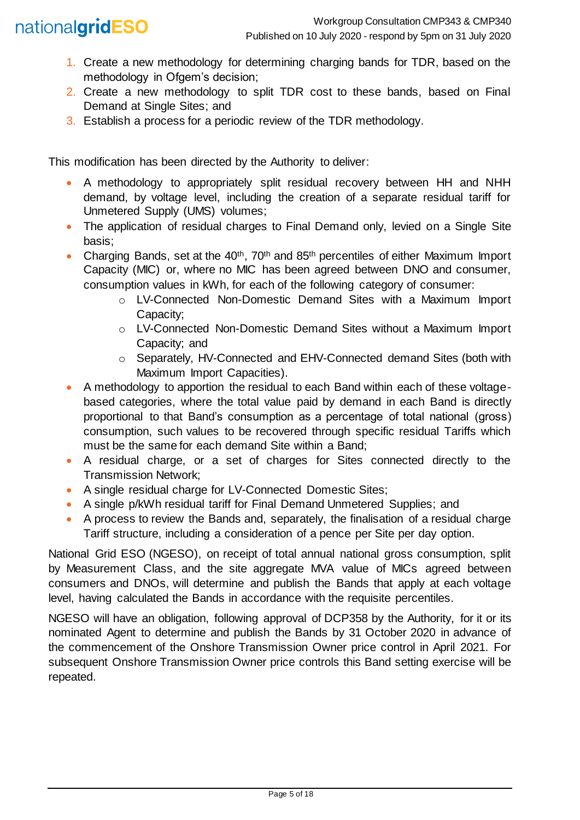## nationalgridESO

- 1. Create a new methodology for determining charging bands for TDR, based on the methodology in Ofgem's decision;
- 2. Create a new methodology to split TDR cost to these bands, based on Final Demand at Single Sites; and
- 3. Establish a process for a periodic review of the TDR methodology.

This modification has been directed by the Authority to deliver:

- A methodology to appropriately split residual recovery between HH and NHH demand, by voltage level, including the creation of a separate residual tariff for Unmetered Supply (UMS) volumes;
- The application of residual charges to Final Demand only, levied on a Single Site basis;
- Charging Bands, set at the 40<sup>th</sup>, 70<sup>th</sup> and 85<sup>th</sup> percentiles of either Maximum Import Capacity (MIC) or, where no MIC has been agreed between DNO and consumer, consumption values in kWh, for each of the following category of consumer:
	- o LV-Connected Non-Domestic Demand Sites with a Maximum Import Capacity;
	- o LV-Connected Non-Domestic Demand Sites without a Maximum Import Capacity; and
	- o Separately, HV-Connected and EHV-Connected demand Sites (both with Maximum Import Capacities).
- A methodology to apportion the residual to each Band within each of these voltagebased categories, where the total value paid by demand in each Band is directly proportional to that Band's consumption as a percentage of total national (gross) consumption, such values to be recovered through specific residual Tariffs which must be the same for each demand Site within a Band;
- A residual charge, or a set of charges for Sites connected directly to the Transmission Network;
- A single residual charge for LV-Connected Domestic Sites;
- A single p/kWh residual tariff for Final Demand Unmetered Supplies; and
- A process to review the Bands and, separately, the finalisation of a residual charge Tariff structure, including a consideration of a pence per Site per day option.

National Grid ESO (NGESO), on receipt of total annual national gross consumption, split by Measurement Class, and the site aggregate MVA value of MICs agreed between consumers and DNOs, will determine and publish the Bands that apply at each voltage level, having calculated the Bands in accordance with the requisite percentiles.

NGESO will have an obligation, following approval of DCP358 by the Authority, for it or its nominated Agent to determine and publish the Bands by 31 October 2020 in advance of the commencement of the Onshore Transmission Owner price control in April 2021. For subsequent Onshore Transmission Owner price controls this Band setting exercise will be repeated.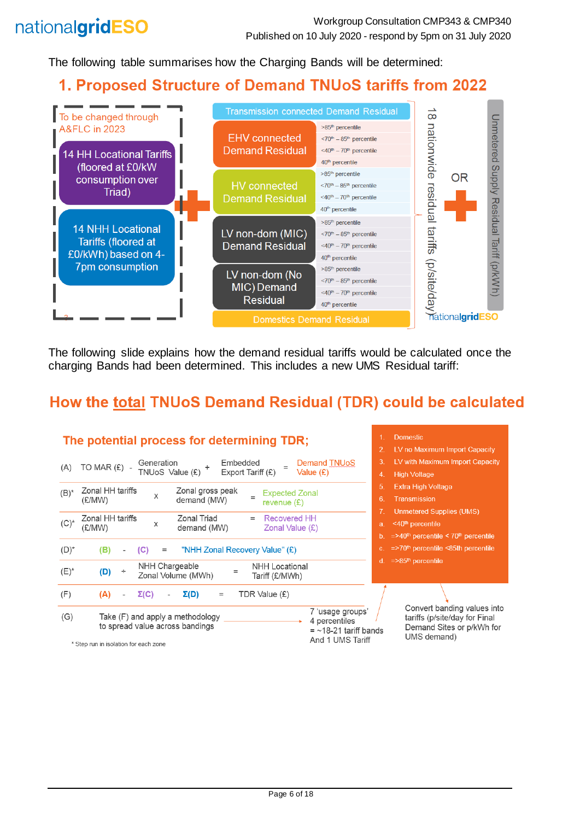The following table summarises how the Charging Bands will be determined:

## 1. Proposed Structure of Demand TNUoS tariffs from 2022



The following slide explains how the demand residual tariffs would be calculated once the charging Bands had been determined. This includes a new UMS Residual tariff:

## How the total TNUoS Demand Residual (TDR) could be calculated

| <b>Domestic</b><br>The potential process for determining TDR;                                                               |                                                                                                                                          |  |
|-----------------------------------------------------------------------------------------------------------------------------|------------------------------------------------------------------------------------------------------------------------------------------|--|
|                                                                                                                             | LV no Maximum Import Capacity                                                                                                            |  |
| Embedded<br>Demand TNUoS<br>Generation<br>TO MAR $(E)$ -<br>(A)                                                             | LV with Maximum Import Capacity<br>3.                                                                                                    |  |
| TNUoS Value (£)<br>Export Tariff $(E)$<br>Value (£)                                                                         | <b>High Voltage</b><br>4.                                                                                                                |  |
| Zonal HH tariffs<br>Zonal gross peak                                                                                        | <b>Extra High Voltage</b><br>5.                                                                                                          |  |
| $(B)^*$<br><b>Expected Zonal</b><br>X<br>demand (MW)<br>(£/MW)<br>revenue $(E)$                                             | <b>Transmission</b><br>6.                                                                                                                |  |
|                                                                                                                             | <b>Unmetered Supplies (UMS)</b>                                                                                                          |  |
| Zonal Triad<br>Zonal HH tariffs<br><b>Recovered HH</b><br>$=$<br>$(C)^*$<br>Χ<br>demand (MW)<br>Zonal Value $(E)$<br>(£/MW) | <40 <sup>th</sup> percentile<br>a.                                                                                                       |  |
|                                                                                                                             | $=$ >40 <sup>th</sup> percentile < 70 <sup>th</sup> percentile                                                                           |  |
| $(D)^*$<br>(C)<br>"NHH Zonal Recovery Value" (£)<br>(B)<br>$=$                                                              | $=$ >70 <sup>th</sup> percentile <85th percentile<br>$c_{-}$                                                                             |  |
| NHH Chargeable<br>NHH Locational                                                                                            | $=$ >85 <sup>th</sup> percentile<br>d.                                                                                                   |  |
| $(E)^*$<br>(D)<br>÷<br>$=$<br>Zonal Volume (MWh)<br>Tariff (£/MWh)                                                          |                                                                                                                                          |  |
| (F)<br>$\Sigma(D)$<br>$\Sigma(C)$<br>TDR Value (£)<br>(A)<br>$=$<br>$\overline{\phantom{a}}$                                |                                                                                                                                          |  |
| (G)<br>Take (F) and apply a methodology<br>4 percentiles<br>to spread value across bandings                                 | Convert banding values into<br>7 'usage groups'<br>tariffs (p/site/day for Final<br>Demand Sites or p/kWh for<br>$=$ ~18-21 tariff bands |  |
| * Chan mun in inglation for each mone                                                                                       | UMS demand)<br>And 1 UMS Tariff                                                                                                          |  |

\* Step run in isolation for each zone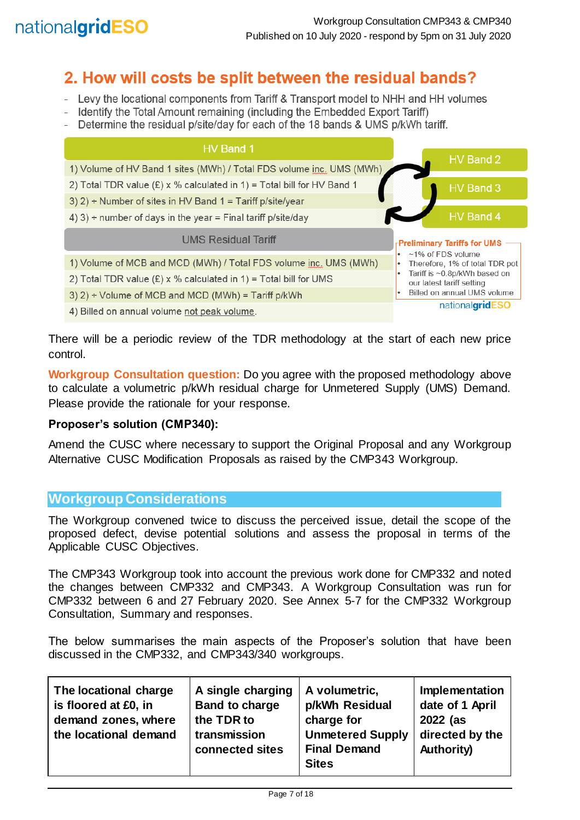

## 2. How will costs be split between the residual bands?

- Levy the locational components from Tariff & Transport model to NHH and HH volumes
- Identify the Total Amount remaining (including the Embedded Export Tariff)
- Determine the residual p/site/day for each of the 18 bands & UMS p/kWh tariff.

| HV Band 1                                                                |                                                             |
|--------------------------------------------------------------------------|-------------------------------------------------------------|
| 1) Volume of HV Band 1 sites (MWh) / Total FDS volume inc. UMS (MWh)     | HV Band 2                                                   |
| 2) Total TDR value $(E)$ x % calculated in 1) = Total bill for HV Band 1 | HV Band 3                                                   |
| 3) 2) ÷ Number of sites in HV Band 1 = Tariff p/site/year                |                                                             |
| 4) 3) ÷ number of days in the year = Final tariff p/site/day             | HV Band 4                                                   |
| <b>UMS Residual Tariff</b>                                               | <b>Preliminary Tariffs for UMS</b>                          |
| 1) Volume of MCB and MCD (MWh) / Total FDS volume inc. UMS (MWh)         | $\cdot$ ~1% of FDS volume<br>Therefore, 1% of total TDR pot |
| 2) Total TDR value $(E) \times \%$ calculated in 1) = Total bill for UMS | Tariff is ~0.8p/kWh based on<br>our latest tariff setting   |
| 3) $2$ ) ÷ Volume of MCB and MCD (MWh) = Tariff p/kWh                    | Billed on annual UMS volume                                 |
|                                                                          | national <b>gridESO</b>                                     |

4) Billed on annual volume not peak volume.

There will be a periodic review of the TDR methodology at the start of each new price control.

**Workgroup Consultation question:** Do you agree with the proposed methodology above to calculate a volumetric p/kWh residual charge for Unmetered Supply (UMS) Demand. Please provide the rationale for your response.

#### **Proposer's solution (CMP340):**

Amend the CUSC where necessary to support the Original Proposal and any Workgroup Alternative CUSC Modification Proposals as raised by the CMP343 Workgroup.

#### **Workgroup Considerations**

The Workgroup convened twice to discuss the perceived issue, detail the scope of the proposed defect, devise potential solutions and assess the proposal in terms of the Applicable CUSC Objectives.

The CMP343 Workgroup took into account the previous work done for CMP332 and noted the changes between CMP332 and CMP343. A Workgroup Consultation was run for CMP332 between 6 and 27 February 2020. See Annex 5-7 for the CMP332 Workgroup Consultation, Summary and responses.

The below summarises the main aspects of the Proposer's solution that have been discussed in the CMP332, and CMP343/340 workgroups.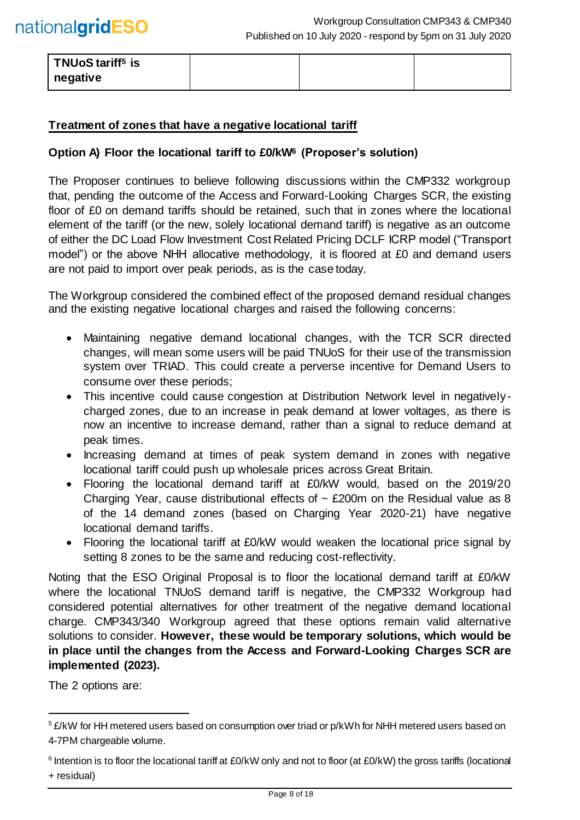| ' TNUoS tariff <sup>5</sup> is |  |  |
|--------------------------------|--|--|
| negative                       |  |  |

#### **Treatment of zones that have a negative locational tariff**

#### **Option A) Floor the locational tariff to £0/kW<sup>6</sup> (Proposer's solution)**

The Proposer continues to believe following discussions within the CMP332 workgroup that, pending the outcome of the Access and Forward-Looking Charges SCR, the existing floor of £0 on demand tariffs should be retained, such that in zones where the locational element of the tariff (or the new, solely locational demand tariff) is negative as an outcome of either the DC Load Flow Investment Cost Related Pricing DCLF ICRP model ("Transport model") or the above NHH allocative methodology, it is floored at £0 and demand users are not paid to import over peak periods, as is the case today.

The Workgroup considered the combined effect of the proposed demand residual changes and the existing negative locational charges and raised the following concerns:

- Maintaining negative demand locational changes, with the TCR SCR directed changes, will mean some users will be paid TNUoS for their use of the transmission system over TRIAD. This could create a perverse incentive for Demand Users to consume over these periods;
- This incentive could cause congestion at Distribution Network level in negativelycharged zones, due to an increase in peak demand at lower voltages, as there is now an incentive to increase demand, rather than a signal to reduce demand at peak times.
- Increasing demand at times of peak system demand in zones with negative locational tariff could push up wholesale prices across Great Britain.
- Flooring the locational demand tariff at £0/kW would, based on the 2019/20 Charging Year, cause distributional effects of  $\sim$  £200m on the Residual value as 8 of the 14 demand zones (based on Charging Year 2020-21) have negative locational demand tariffs.
- Flooring the locational tariff at £0/kW would weaken the locational price signal by setting 8 zones to be the same and reducing cost-reflectivity.

Noting that the ESO Original Proposal is to floor the locational demand tariff at £0/kW where the locational TNUoS demand tariff is negative, the CMP332 Workgroup had considered potential alternatives for other treatment of the negative demand locational charge. CMP343/340 Workgroup agreed that these options remain valid alternative solutions to consider. **However, these would be temporary solutions, which would be in place until the changes from the Access and Forward-Looking Charges SCR are implemented (2023).**

The 2 options are:

l

<sup>&</sup>lt;sup>5</sup> £/kW for HH metered users based on consumption over triad or p/kWh for NHH metered users based on 4-7PM chargeable volume.

<sup>&</sup>lt;sup>6</sup> Intention is to floor the locational tariff at £0/kW only and not to floor (at £0/kW) the gross tariffs (locational + residual)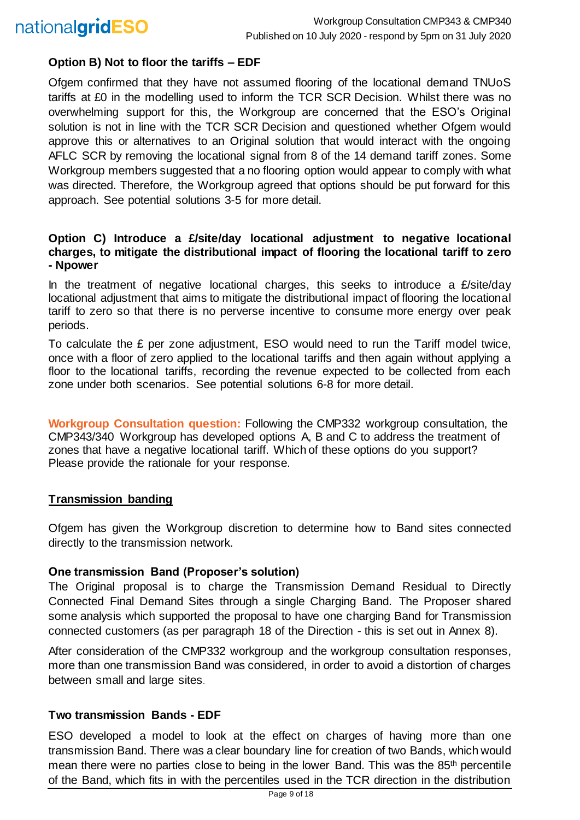

#### **Option B) Not to floor the tariffs – EDF**

Ofgem confirmed that they have not assumed flooring of the locational demand TNUoS tariffs at £0 in the modelling used to inform the TCR SCR Decision. Whilst there was no overwhelming support for this, the Workgroup are concerned that the ESO's Original solution is not in line with the TCR SCR Decision and questioned whether Ofgem would approve this or alternatives to an Original solution that would interact with the ongoing AFLC SCR by removing the locational signal from 8 of the 14 demand tariff zones. Some Workgroup members suggested that a no flooring option would appear to comply with what was directed. Therefore, the Workgroup agreed that options should be put forward for this approach. See potential solutions 3-5 for more detail.

#### **Option C) Introduce a £/site/day locational adjustment to negative locational charges, to mitigate the distributional impact of flooring the locational tariff to zero - Npower**

In the treatment of negative locational charges, this seeks to introduce a  $E$ /site/day locational adjustment that aims to mitigate the distributional impact of flooring the locational tariff to zero so that there is no perverse incentive to consume more energy over peak periods.

To calculate the £ per zone adjustment, ESO would need to run the Tariff model twice, once with a floor of zero applied to the locational tariffs and then again without applying a floor to the locational tariffs, recording the revenue expected to be collected from each zone under both scenarios. See potential solutions 6-8 for more detail.

**Workgroup Consultation question:** Following the CMP332 workgroup consultation, the CMP343/340 Workgroup has developed options A, B and C to address the treatment of zones that have a negative locational tariff. Which of these options do you support? Please provide the rationale for your response.

#### **Transmission banding**

Ofgem has given the Workgroup discretion to determine how to Band sites connected directly to the transmission network.

#### **One transmission Band (Proposer's solution)**

The Original proposal is to charge the Transmission Demand Residual to Directly Connected Final Demand Sites through a single Charging Band. The Proposer shared some analysis which supported the proposal to have one charging Band for Transmission connected customers (as per paragraph 18 of the Direction - this is set out in Annex 8).

After consideration of the CMP332 workgroup and the workgroup consultation responses, more than one transmission Band was considered, in order to avoid a distortion of charges between small and large sites.

#### **Two transmission Bands - EDF**

ESO developed a model to look at the effect on charges of having more than one transmission Band. There was a clear boundary line for creation of two Bands, which would mean there were no parties close to being in the lower Band. This was the 85<sup>th</sup> percentile of the Band, which fits in with the percentiles used in the TCR direction in the distribution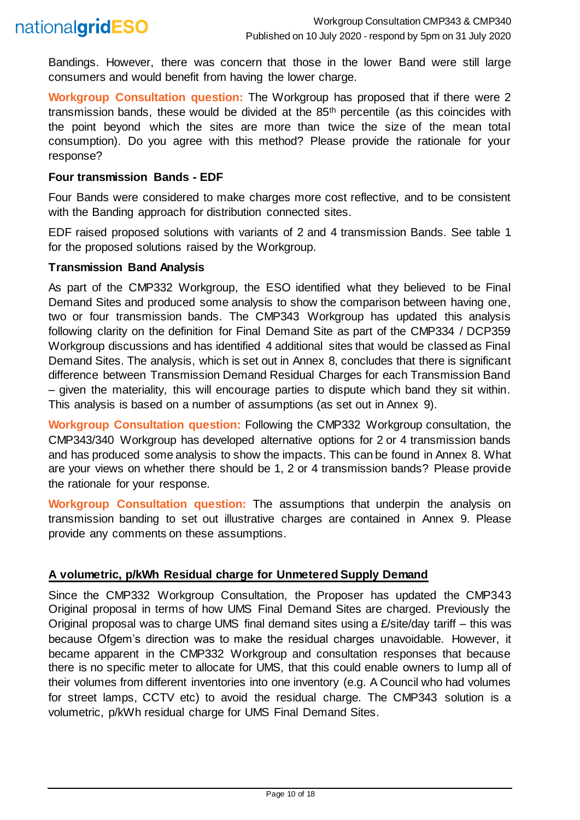

Bandings. However, there was concern that those in the lower Band were still large consumers and would benefit from having the lower charge.

**Workgroup Consultation question:** The Workgroup has proposed that if there were 2 transmission bands, these would be divided at the 85th percentile (as this coincides with the point beyond which the sites are more than twice the size of the mean total consumption). Do you agree with this method? Please provide the rationale for your response?

#### **Four transmission Bands - EDF**

Four Bands were considered to make charges more cost reflective, and to be consistent with the Banding approach for distribution connected sites.

EDF raised proposed solutions with variants of 2 and 4 transmission Bands. See table 1 for the proposed solutions raised by the Workgroup.

#### **Transmission Band Analysis**

As part of the CMP332 Workgroup, the ESO identified what they believed to be Final Demand Sites and produced some analysis to show the comparison between having one, two or four transmission bands. The CMP343 Workgroup has updated this analysis following clarity on the definition for Final Demand Site as part of the CMP334 / DCP359 Workgroup discussions and has identified 4 additional sites that would be classed as Final Demand Sites. The analysis, which is set out in Annex 8, concludes that there is significant difference between Transmission Demand Residual Charges for each Transmission Band – given the materiality, this will encourage parties to dispute which band they sit within. This analysis is based on a number of assumptions (as set out in Annex 9).

**Workgroup Consultation question:** Following the CMP332 Workgroup consultation, the CMP343/340 Workgroup has developed alternative options for 2 or 4 transmission bands and has produced some analysis to show the impacts. This can be found in Annex 8. What are your views on whether there should be 1, 2 or 4 transmission bands? Please provide the rationale for your response.

**Workgroup Consultation question:** The assumptions that underpin the analysis on transmission banding to set out illustrative charges are contained in Annex 9. Please provide any comments on these assumptions.

#### **A volumetric, p/kWh Residual charge for Unmetered Supply Demand**

Since the CMP332 Workgroup Consultation, the Proposer has updated the CMP343 Original proposal in terms of how UMS Final Demand Sites are charged. Previously the Original proposal was to charge UMS final demand sites using a  $E$ /site/day tariff – this was because Ofgem's direction was to make the residual charges unavoidable. However, it became apparent in the CMP332 Workgroup and consultation responses that because there is no specific meter to allocate for UMS, that this could enable owners to lump all of their volumes from different inventories into one inventory (e.g. A Council who had volumes for street lamps, CCTV etc) to avoid the residual charge. The CMP343 solution is a volumetric, p/kWh residual charge for UMS Final Demand Sites.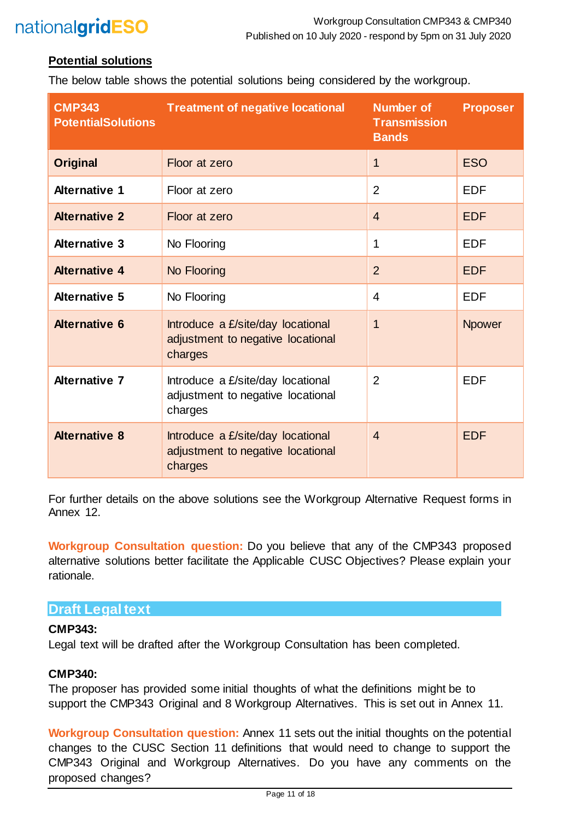#### **Potential solutions**

The below table shows the potential solutions being considered by the workgroup.

| <b>CMP343</b><br><b>PotentialSolutions</b> | <b>Treatment of negative locational</b>                                           | <b>Number of</b><br><b>Transmission</b><br><b>Bands</b> | <b>Proposer</b> |
|--------------------------------------------|-----------------------------------------------------------------------------------|---------------------------------------------------------|-----------------|
| <b>Original</b>                            | Floor at zero                                                                     | 1                                                       | <b>ESO</b>      |
| <b>Alternative 1</b>                       | Floor at zero                                                                     | $\overline{2}$                                          | <b>EDF</b>      |
| <b>Alternative 2</b>                       | Floor at zero                                                                     | $\overline{4}$                                          | <b>EDF</b>      |
| <b>Alternative 3</b>                       | No Flooring                                                                       | 1                                                       | <b>EDF</b>      |
| <b>Alternative 4</b>                       | No Flooring                                                                       | $\overline{2}$                                          | <b>EDF</b>      |
| <b>Alternative 5</b>                       | No Flooring                                                                       | $\overline{\mathbf{4}}$                                 | <b>EDF</b>      |
| <b>Alternative 6</b>                       | Introduce a £/site/day locational<br>adjustment to negative locational<br>charges | $\overline{\mathbf{1}}$                                 | <b>Npower</b>   |
| <b>Alternative 7</b>                       | Introduce a £/site/day locational<br>adjustment to negative locational<br>charges | $\overline{2}$                                          | <b>EDF</b>      |
| <b>Alternative 8</b>                       | Introduce a £/site/day locational<br>adjustment to negative locational<br>charges | $\overline{4}$                                          | <b>EDF</b>      |

For further details on the above solutions see the Workgroup Alternative Request forms in Annex 12.

**Workgroup Consultation question:** Do you believe that any of the CMP343 proposed alternative solutions better facilitate the Applicable CUSC Objectives? Please explain your rationale.

### **Draft Legal text**

#### **CMP343:**

Legal text will be drafted after the Workgroup Consultation has been completed.

#### **CMP340:**

The proposer has provided some initial thoughts of what the definitions might be to support the CMP343 Original and 8 Workgroup Alternatives. This is set out in Annex 11.

**Workgroup Consultation question:** Annex 11 sets out the initial thoughts on the potential changes to the CUSC Section 11 definitions that would need to change to support the CMP343 Original and Workgroup Alternatives. Do you have any comments on the proposed changes?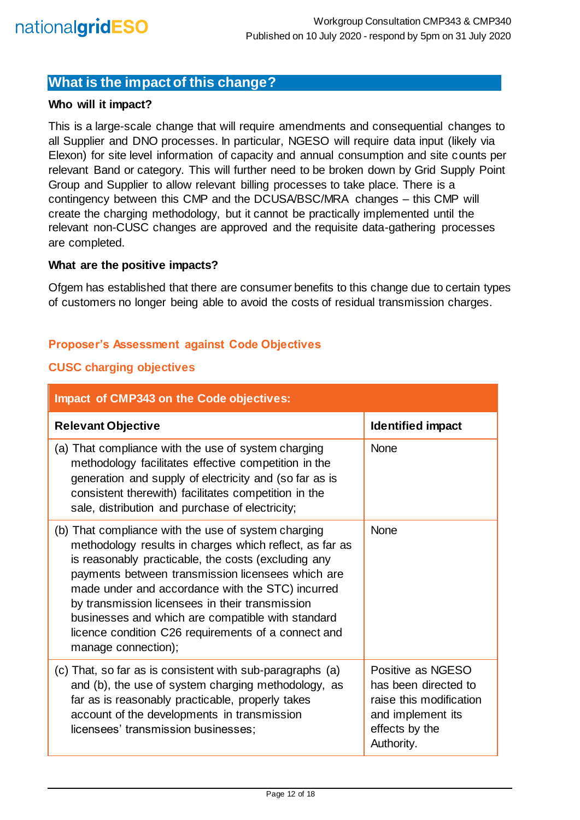## **What is the impact of this change?**

#### **Who will it impact?**

This is a large-scale change that will require amendments and consequential changes to all Supplier and DNO processes. In particular, NGESO will require data input (likely via Elexon) for site level information of capacity and annual consumption and site counts per relevant Band or category. This will further need to be broken down by Grid Supply Point Group and Supplier to allow relevant billing processes to take place. There is a contingency between this CMP and the DCUSA/BSC/MRA changes – this CMP will create the charging methodology, but it cannot be practically implemented until the relevant non-CUSC changes are approved and the requisite data-gathering processes are completed.

#### **What are the positive impacts?**

Ofgem has established that there are consumer benefits to this change due to certain types of customers no longer being able to avoid the costs of residual transmission charges.

#### **Proposer's Assessment against Code Objectives**

#### **CUSC charging objectives**

| <b>Impact of CMP343 on the Code objectives:</b>                                                                                                                                                                                                                                                                                                                                                                                                                      |                                                                                                                           |
|----------------------------------------------------------------------------------------------------------------------------------------------------------------------------------------------------------------------------------------------------------------------------------------------------------------------------------------------------------------------------------------------------------------------------------------------------------------------|---------------------------------------------------------------------------------------------------------------------------|
| <b>Relevant Objective</b>                                                                                                                                                                                                                                                                                                                                                                                                                                            | <b>Identified impact</b>                                                                                                  |
| (a) That compliance with the use of system charging<br>methodology facilitates effective competition in the<br>generation and supply of electricity and (so far as is<br>consistent therewith) facilitates competition in the<br>sale, distribution and purchase of electricity;                                                                                                                                                                                     | <b>None</b>                                                                                                               |
| (b) That compliance with the use of system charging<br>methodology results in charges which reflect, as far as<br>is reasonably practicable, the costs (excluding any<br>payments between transmission licensees which are<br>made under and accordance with the STC) incurred<br>by transmission licensees in their transmission<br>businesses and which are compatible with standard<br>licence condition C26 requirements of a connect and<br>manage connection); | <b>None</b>                                                                                                               |
| (c) That, so far as is consistent with sub-paragraphs (a)<br>and (b), the use of system charging methodology, as<br>far as is reasonably practicable, properly takes<br>account of the developments in transmission<br>licensees' transmission businesses;                                                                                                                                                                                                           | Positive as NGESO<br>has been directed to<br>raise this modification<br>and implement its<br>effects by the<br>Authority. |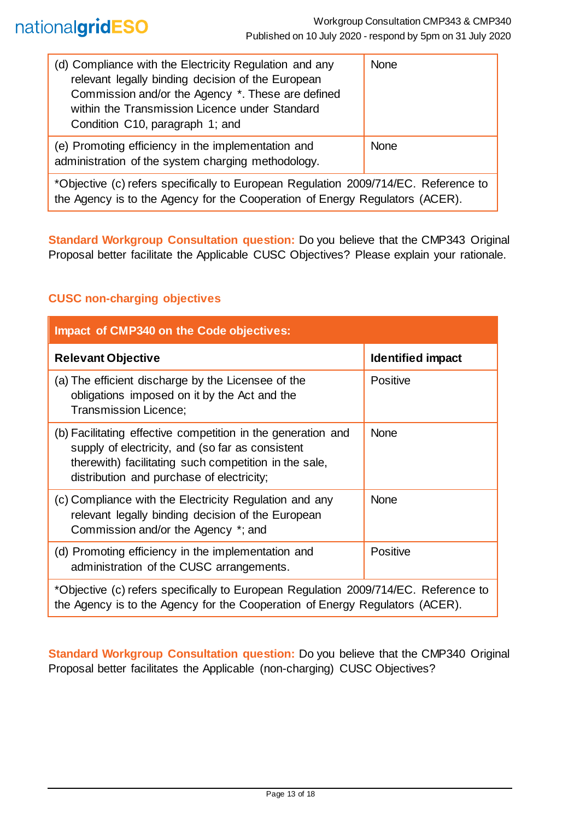| (d) Compliance with the Electricity Regulation and any<br>relevant legally binding decision of the European<br>Commission and/or the Agency *. These are defined<br>within the Transmission Licence under Standard<br>Condition C10, paragraph 1; and | <b>None</b> |
|-------------------------------------------------------------------------------------------------------------------------------------------------------------------------------------------------------------------------------------------------------|-------------|
| (e) Promoting efficiency in the implementation and<br>administration of the system charging methodology.                                                                                                                                              | <b>None</b> |
| *Objective (c) refers specifically to European Regulation 2009/714/EC. Reference to<br>the Agency is to the Agency for the Cooperation of Energy Regulators (ACER).                                                                                   |             |

**Standard Workgroup Consultation question:** Do you believe that the CMP343 Original Proposal better facilitate the Applicable CUSC Objectives? Please explain your rationale.

## **CUSC non-charging objectives**

| <b>Impact of CMP340 on the Code objectives:</b>                                                                                                                                                                        |                   |  |
|------------------------------------------------------------------------------------------------------------------------------------------------------------------------------------------------------------------------|-------------------|--|
| <b>Relevant Objective</b>                                                                                                                                                                                              | Identified impact |  |
| (a) The efficient discharge by the Licensee of the<br>obligations imposed on it by the Act and the<br><b>Transmission Licence:</b>                                                                                     | <b>Positive</b>   |  |
| (b) Facilitating effective competition in the generation and<br>supply of electricity, and (so far as consistent<br>therewith) facilitating such competition in the sale,<br>distribution and purchase of electricity; | <b>None</b>       |  |
| (c) Compliance with the Electricity Regulation and any<br>relevant legally binding decision of the European<br>Commission and/or the Agency *; and                                                                     | <b>None</b>       |  |
| (d) Promoting efficiency in the implementation and<br>administration of the CUSC arrangements.                                                                                                                         | <b>Positive</b>   |  |
| *Objective (c) refers specifically to European Regulation 2009/714/EC. Reference to<br>the Agency is to the Agency for the Cooperation of Energy Regulators (ACER).                                                    |                   |  |

**Standard Workgroup Consultation question:** Do you believe that the CMP340 Original Proposal better facilitates the Applicable (non-charging) CUSC Objectives?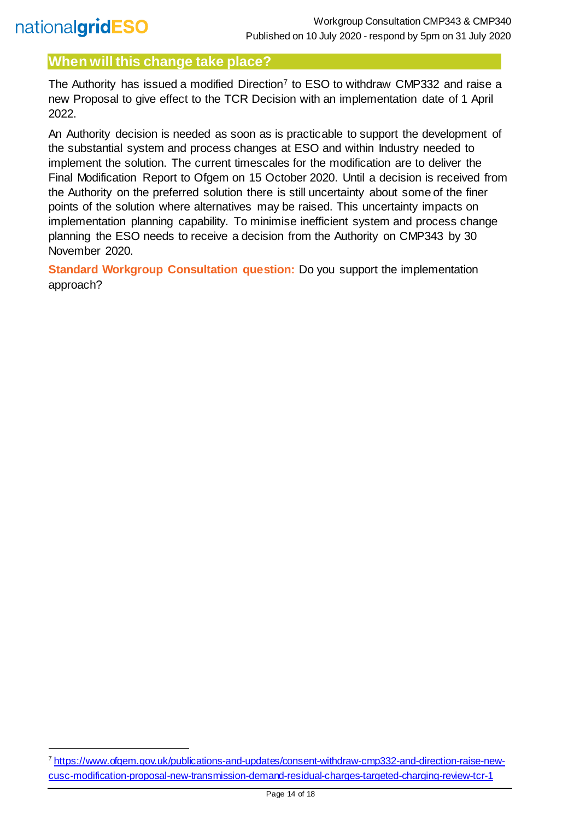l

## **When will this change take place?**

The Authority has issued a modified Direction<sup>7</sup> to ESO to withdraw CMP332 and raise a new Proposal to give effect to the TCR Decision with an implementation date of 1 April 2022.

An Authority decision is needed as soon as is practicable to support the development of the substantial system and process changes at ESO and within Industry needed to implement the solution. The current timescales for the modification are to deliver the Final Modification Report to Ofgem on 15 October 2020. Until a decision is received from the Authority on the preferred solution there is still uncertainty about some of the finer points of the solution where alternatives may be raised. This uncertainty impacts on implementation planning capability. To minimise inefficient system and process change planning the ESO needs to receive a decision from the Authority on CMP343 by 30 November 2020.

**Standard Workgroup Consultation question:** Do you support the implementation approach?

<sup>7</sup> [https://www.ofgem.gov.uk/publications-and-updates/consent-withdraw-cmp332-and-direction-raise-new](https://www.ofgem.gov.uk/publications-and-updates/consent-withdraw-cmp332-and-direction-raise-new-cusc-modification-proposal-new-transmission-demand-residual-charges-targeted-charging-review-tcr-1)[cusc-modification-proposal-new-transmission-demand-residual-charges-targeted-charging-review-tcr-1](https://www.ofgem.gov.uk/publications-and-updates/consent-withdraw-cmp332-and-direction-raise-new-cusc-modification-proposal-new-transmission-demand-residual-charges-targeted-charging-review-tcr-1)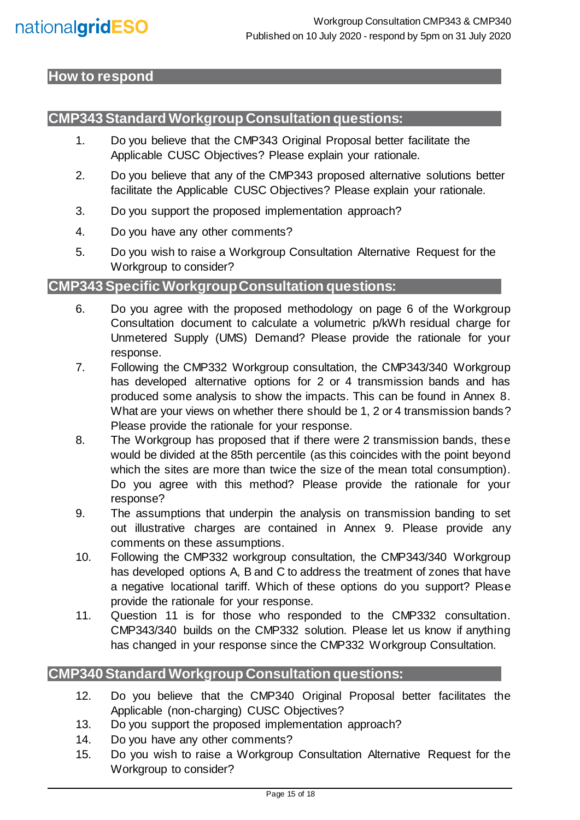## <span id="page-14-0"></span>**How to respond**

## **CMP343 Standard Workgroup Consultation questions:**

- 1. Do you believe that the CMP343 Original Proposal better facilitate the Applicable CUSC Objectives? Please explain your rationale.
- 2. Do you believe that any of the CMP343 proposed alternative solutions better facilitate the Applicable CUSC Objectives? Please explain your rationale.
- 3. Do you support the proposed implementation approach?
- 4. Do you have any other comments?
- 5. Do you wish to raise a Workgroup Consultation Alternative Request for the Workgroup to consider?

## **CMP343 Specific Workgroup Consultation questions:**

- 6. Do you agree with the proposed methodology on page 6 of the Workgroup Consultation document to calculate a volumetric p/kWh residual charge for Unmetered Supply (UMS) Demand? Please provide the rationale for your response.
- 7. Following the CMP332 Workgroup consultation, the CMP343/340 Workgroup has developed alternative options for 2 or 4 transmission bands and has produced some analysis to show the impacts. This can be found in Annex 8. What are your views on whether there should be 1, 2 or 4 transmission bands? Please provide the rationale for your response.
- 8. The Workgroup has proposed that if there were 2 transmission bands, these would be divided at the 85th percentile (as this coincides with the point beyond which the sites are more than twice the size of the mean total consumption). Do you agree with this method? Please provide the rationale for your response?
- 9. The assumptions that underpin the analysis on transmission banding to set out illustrative charges are contained in Annex 9. Please provide any comments on these assumptions.
- 10. Following the CMP332 workgroup consultation, the CMP343/340 Workgroup has developed options A, B and C to address the treatment of zones that have a negative locational tariff. Which of these options do you support? Please provide the rationale for your response.
- 11. Question 11 is for those who responded to the CMP332 consultation. CMP343/340 builds on the CMP332 solution. Please let us know if anything has changed in your response since the CMP332 Workgroup Consultation.

### **CMP340 Standard Workgroup Consultation questions:**

- 12. Do you believe that the CMP340 Original Proposal better facilitates the Applicable (non-charging) CUSC Objectives?
- 13. Do you support the proposed implementation approach?
- 14. Do you have any other comments?
- 15. Do you wish to raise a Workgroup Consultation Alternative Request for the Workgroup to consider?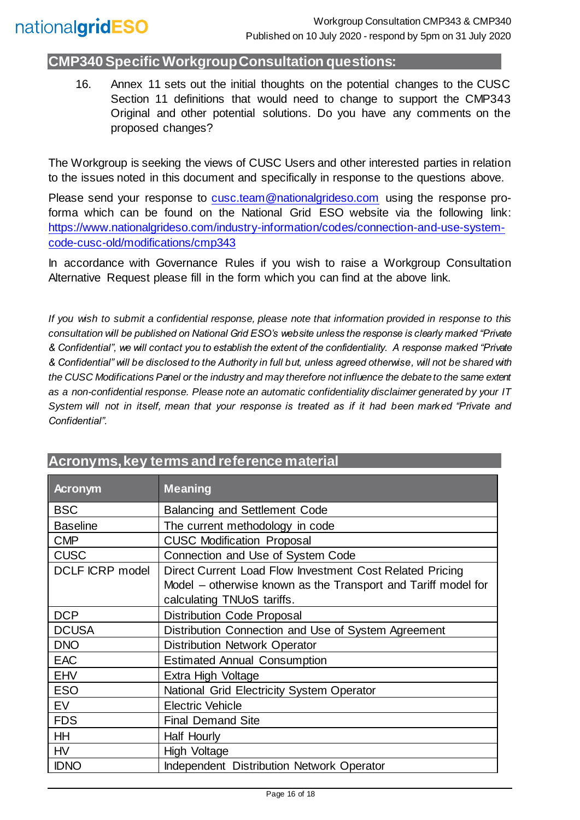## **CMP340 Specific Workgroup Consultation questions:**

16. Annex 11 sets out the initial thoughts on the potential changes to the CUSC Section 11 definitions that would need to change to support the CMP343 Original and other potential solutions. Do you have any comments on the proposed changes?

The Workgroup is seeking the views of CUSC Users and other interested parties in relation to the issues noted in this document and specifically in response to the questions above.

Please send your response to [cusc.team@nationalgrideso.com](mailto:cusc.team@nationalgrideso.com) using the response proforma which can be found on the National Grid ESO website via the following link: [https://www.nationalgrideso.com/industry-information/codes/connection-and-use-system](https://www.nationalgrideso.com/industry-information/codes/connection-and-use-system-code-cusc-old/modifications/cmp343)[code-cusc-old/modifications/cmp343](https://www.nationalgrideso.com/industry-information/codes/connection-and-use-system-code-cusc-old/modifications/cmp343)

In accordance with Governance Rules if you wish to raise a Workgroup Consultation Alternative Request please fill in the form which you can find at the above link.

*If you wish to submit a confidential response, please note that information provided in response to this consultation will be published on National Grid ESO's website unless the response is clearly marked "Private & Confidential", we will contact you to establish the extent of the confidentiality. A response marked "Private & Confidential" will be disclosed to the Authority in full but, unless agreed otherwise, will not be shared with the CUSC Modifications Panel or the industry and may therefore not influence the debate to the same extent as a non-confidential response. Please note an automatic confidentiality disclaimer generated by your IT System will not in itself, mean that your response is treated as if it had been marked "Private and Confidential".*

| <b>Acronym</b>         | <b>Meaning</b>                                                                                                                                          |
|------------------------|---------------------------------------------------------------------------------------------------------------------------------------------------------|
| <b>BSC</b>             | <b>Balancing and Settlement Code</b>                                                                                                                    |
| <b>Baseline</b>        | The current methodology in code                                                                                                                         |
| <b>CMP</b>             | <b>CUSC Modification Proposal</b>                                                                                                                       |
| <b>CUSC</b>            | Connection and Use of System Code                                                                                                                       |
| <b>DCLF ICRP model</b> | Direct Current Load Flow Investment Cost Related Pricing<br>Model – otherwise known as the Transport and Tariff model for<br>calculating TNUoS tariffs. |
| <b>DCP</b>             | <b>Distribution Code Proposal</b>                                                                                                                       |
| <b>DCUSA</b>           | Distribution Connection and Use of System Agreement                                                                                                     |
| <b>DNO</b>             | <b>Distribution Network Operator</b>                                                                                                                    |
| <b>EAC</b>             | <b>Estimated Annual Consumption</b>                                                                                                                     |
| <b>EHV</b>             | Extra High Voltage                                                                                                                                      |
| <b>ESO</b>             | National Grid Electricity System Operator                                                                                                               |
| <b>EV</b>              | <b>Electric Vehicle</b>                                                                                                                                 |
| <b>FDS</b>             | <b>Final Demand Site</b>                                                                                                                                |
| <b>HH</b>              | Half Hourly                                                                                                                                             |
| <b>HV</b>              | High Voltage                                                                                                                                            |
| <b>IDNO</b>            | Independent Distribution Network Operator                                                                                                               |

## **Acronyms, key terms and reference material**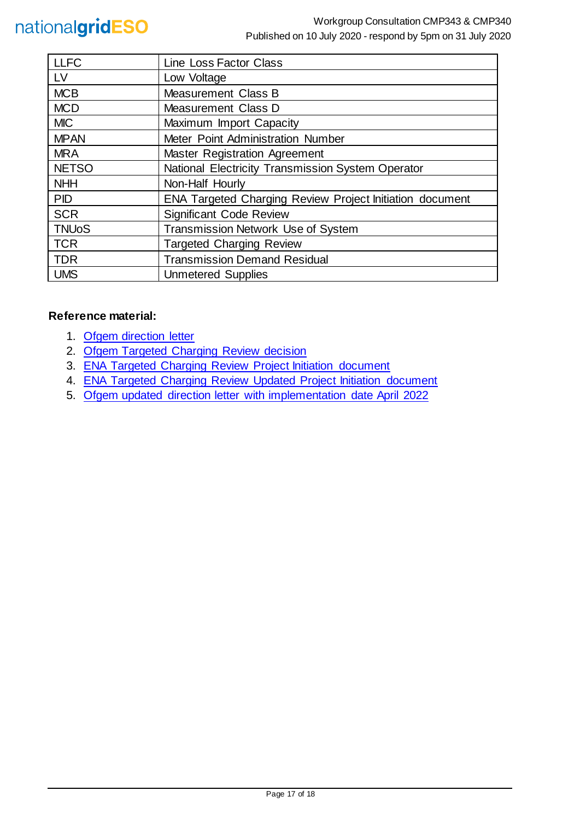| <b>LLFC</b>  | Line Loss Factor Class                                   |
|--------------|----------------------------------------------------------|
| LV           | Low Voltage                                              |
| <b>MCB</b>   | Measurement Class B                                      |
| <b>MCD</b>   | <b>Measurement Class D</b>                               |
| <b>MIC</b>   | Maximum Import Capacity                                  |
| <b>MPAN</b>  | Meter Point Administration Number                        |
| <b>MRA</b>   | <b>Master Registration Agreement</b>                     |
| <b>NETSO</b> | National Electricity Transmission System Operator        |
| <b>NHH</b>   | Non-Half Hourly                                          |
| <b>PID</b>   | ENA Targeted Charging Review Project Initiation document |
| <b>SCR</b>   | <b>Significant Code Review</b>                           |
| <b>TNUoS</b> | Transmission Network Use of System                       |
| <b>TCR</b>   | <b>Targeted Charging Review</b>                          |
| <b>TDR</b>   | <b>Transmission Demand Residual</b>                      |
| <b>UMS</b>   | <b>Unmetered Supplies</b>                                |

#### **Reference material:**

- 1. [Ofgem direction letter](https://www.ofgem.gov.uk/system/files/docs/2019/11/cusc_direction_1.pdf)
- 2. [Ofgem Targeted Charging Review decision](https://www.ofgem.gov.uk/system/files/docs/2019/12/full_decision_doc_updated.pdf)
- 3. [ENA Targeted Charging Review Project Initiation document](https://urldefense.com/v3/__http:/www.chargingfutures.com/media/1390/tcr-joint-eso-dno-pid-v10.pdf__;!70_KdN2uTJA!iTCC0uKa-KGiJ-mbkt9wKAdUd4VEQgNAnFADH7gkPuWIOXPyWFJ25WItQW-c8yUgXR06uw$)
- 4. [ENA Targeted Charging Review Updated Project Initiation document](http://www.chargingfutures.com/media/1444/tcr-joint-eso-dno-pid-update-v11.pdf)
- 5. Ofgem updated direction letter [with implementation date April 2022](https://www.ofgem.gov.uk/publications-and-updates/consent-withdraw-cmp332-and-direction-raise-new-cusc-modification-proposal-new-transmission-demand-residual-charges-targeted-charging-review-tcr-1)